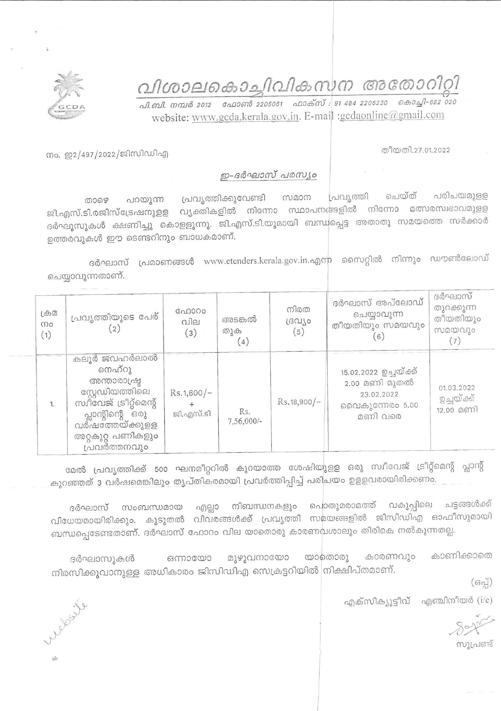വിശാലകൊച്ചിവികസന അതോറിറ്റി

<u>. வி. வி.</u> வைக் 2012 – வேலளா 2205061 – வலக்ஸ் : 91 484 2206230 – கெல்வி 682 020 website: www.gcda.kerala.gov.in. E-mail :gcdaonline@gmail.com



തീയതി.27.01.2022

നം. ഇ2/497/2022/ജിസിഡിഎ

## ഇ-ദർഘാസ് പരസ്യം

പരിചയമുള്ള ചെയ്ത് പ്രവ്യത്തി പ്രവൃത്തിക്കുവേണ്ടി സമാന താഴെ പറയുന്ന ജി.എസ്.ടി.രജിസ്ട്രേഷനുളള വൃക്തികളിൽ നിന്നോ സ്ഥാപനങ്ങളിൽ നിന്നോ മത്സരസ്വഭാവമുളള ദർഘുസുകൾ ക്ഷണിച്ചു കൊളളുന്നു. ജി.എസ്.ടി.യുമായി ബന്ധപ്പെട്ട അതാതു സമയത്തെ സർക്കാർ ഉത്തരവുകൾ ഈ ടെണ്ടറിനും ബാധകമാണ്.

ദർഘാസ് പ്രമാണങ്ങൾ www.etenders.kerala.gov.in.എന്ന സൈറ്റിൽ നിന്നും ഡൗൺലോഡ് ചെയ്യാവുന്നതാണ്.

| $L \oplus \mathcal{D}$<br>mo<br>(1) | പ്രവൃത്തിയുടെ പേര്                                                                                                                                               | ഫോറം<br>വില<br>(3)        | അടങ്കൽ<br>തുക<br>(4) | നിരത<br>resulto<br>(5) | ദർഘാസ് അപ്ലോഡ്<br>ചെയ്യാവുന്ന<br>തീയതിയും സമയവും<br>(6)                            | ദർഘാസ്<br>തുറക്കുന്ന<br>തീയതിയും<br>സമയവും |
|-------------------------------------|------------------------------------------------------------------------------------------------------------------------------------------------------------------|---------------------------|----------------------|------------------------|------------------------------------------------------------------------------------|--------------------------------------------|
| 1.                                  | കലൂർ ജവഹർലാൽ<br>നെഹ്റു<br>അന്താരാഷ്ട്ര<br>സ്റ്റേഡിയത്തിലെ<br>സ്വീവേജ് ട്രീറ്റ്മെന്റ്<br>പ്ലാന്റിന്റെ ഒരു<br>വർഷത്തേയ്ക്കുളള<br>അറ്റകുറ്റ പണികളും<br>പ്രവർത്തനവും | $Rs.1,600/-$<br>ജി.എസ്.ടി | Rs.<br>$7,56,000/-$  | $Rs.18,900/-$          | 15.02.2022 ഉച്ചയ്ക്ക്<br>2.00 മണി മുതൽ<br>23.02.2022<br>വൈകുന്നേരം 5.00<br>മണി വരെ | 01.03.2022<br>ഉച്ചയ്ക്ക്<br>12.00 മണി      |

മേൽ പ്രവൃത്തിക്ക് 500 ഘനമീറ്ററിൽ കുറയാത്ത ശേഷിയുളള ഒരു സ്വീവേജ് ട്രീറ്റ്മെന്റ് പ്ലാന്റ് കുറഞ്ഞത് 3 വർഷമെങ്കിലും തൃപ്തികരമായി പ്രവർത്തിപ്പിച്ച് പരിചയം ഉളളവരായിരിക്കണം.

നിബന്ധനകളും പൊതുമരാമത്ത് വകുപ്പിലെ ചട്ടങ്ങൾക്ക് ദർഘാസ് സംബന്ധമായ എല്ലാ വിധേയമായിരിക്കും. കൂടുതൽ വിവരങ്ങൾക്ക് പ്രവൃത്തി സമയങ്ങളിൽ ജിസിഡിഎ ഓഫീസുമായി ബന്ധപ്പെടേണ്ടതാണ്. ദർഘാസ് ഫോറം വില യാതൊരു കാരണപ്പശാലും തിരികെ നൽകുന്നതല്ല.

മുഴുവനായോ യാതൊരു കാരണവും കാണിക്കാതെ ദർഘാസുകൾ ഔരാസം നിരസിക്കുവാനുള്ള അധികാരം ജിസിഡിഎ സെക്രട്ടറിയിൽ നിക്ഷിപ്തമാണ്.

 $(69q)$ 

എക്സിക്യൂട്ടീവ് എഞ്ചിനീയർ  $(i/c)$ 

സൂപ്രണ്ട്

website